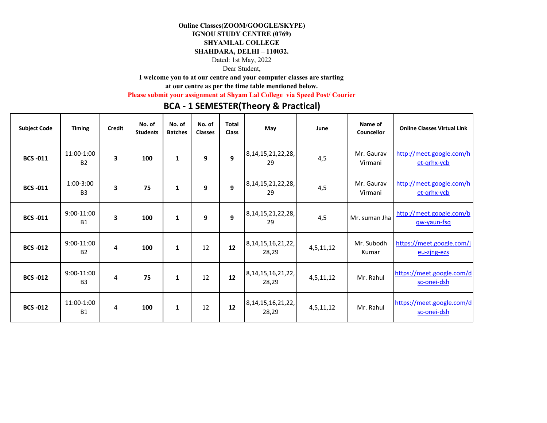## **Online Classes(ZOOM/GOOGLE/SKYPE)**

# **IGNOU STUDY CENTRE (0769)**

#### **SHYAMLAL COLLEGE**

### **SHAHDARA, DELHI – 110032.**

Dated: 1st May, 2022

Dear Student,

**I welcome you to at our centre and your computer classes are starting** 

**at our centre as per the time table mentioned below.** 

**Please submit your assignment at Shyam Lal College via Speed Post/ Courier**

# **BCA ‐ 1 SEMESTER(Theory & Practical)**

| <b>Subject Code</b> | <b>Timing</b>            | Credit | No. of<br><b>Students</b> | No. of<br><b>Batches</b> | No. of<br><b>Classes</b> | <b>Total</b><br><b>Class</b> | May                             | June      | Name of<br>Councellor | <b>Online Classes Virtual Link</b>       |
|---------------------|--------------------------|--------|---------------------------|--------------------------|--------------------------|------------------------------|---------------------------------|-----------|-----------------------|------------------------------------------|
| <b>BCS-011</b>      | 11:00-1:00<br><b>B2</b>  | 3      | 100                       | $\mathbf{1}$             | 9                        | 9                            | 8, 14, 15, 21, 22, 28,<br>29    | 4,5       | Mr. Gaurav<br>Virmani | http://meet.google.com/h<br>et-grhx-ycb  |
| <b>BCS-011</b>      | $1:00-3:00$<br><b>B3</b> | 3      | 75                        | $\mathbf{1}$             | 9                        | 9                            | 8, 14, 15, 21, 22, 28,<br>29    | 4,5       | Mr. Gaurav<br>Virmani | http://meet.google.com/h<br>et-grhx-ycb  |
| <b>BCS-011</b>      | 9:00-11:00<br><b>B1</b>  | 3      | 100                       | 1                        | 9                        | 9                            | 8, 14, 15, 21, 22, 28,<br>29    | 4,5       | Mr. suman Jha         | http://meet.google.com/b<br>gw-yaun-fsq  |
| <b>BCS -012</b>     | 9:00-11:00<br><b>B2</b>  | 4      | 100                       | $\mathbf{1}$             | 12                       | 12                           | 8, 14, 15, 16, 21, 22,<br>28,29 | 4,5,11,12 | Mr. Subodh<br>Kumar   | https://meet.google.com/j<br>eu-zing-ezs |
| <b>BCS-012</b>      | 9:00-11:00<br><b>B3</b>  | 4      | 75                        | $\mathbf{1}$             | 12                       | 12                           | 8, 14, 15, 16, 21, 22,<br>28,29 | 4,5,11,12 | Mr. Rahul             | https://meet.google.com/d<br>sc-onei-dsh |
| <b>BCS-012</b>      | 11:00-1:00<br><b>B1</b>  | 4      | 100                       | 1                        | 12                       | 12                           | 8, 14, 15, 16, 21, 22,<br>28,29 | 4,5,11,12 | Mr. Rahul             | https://meet.google.com/d<br>sc-onei-dsh |